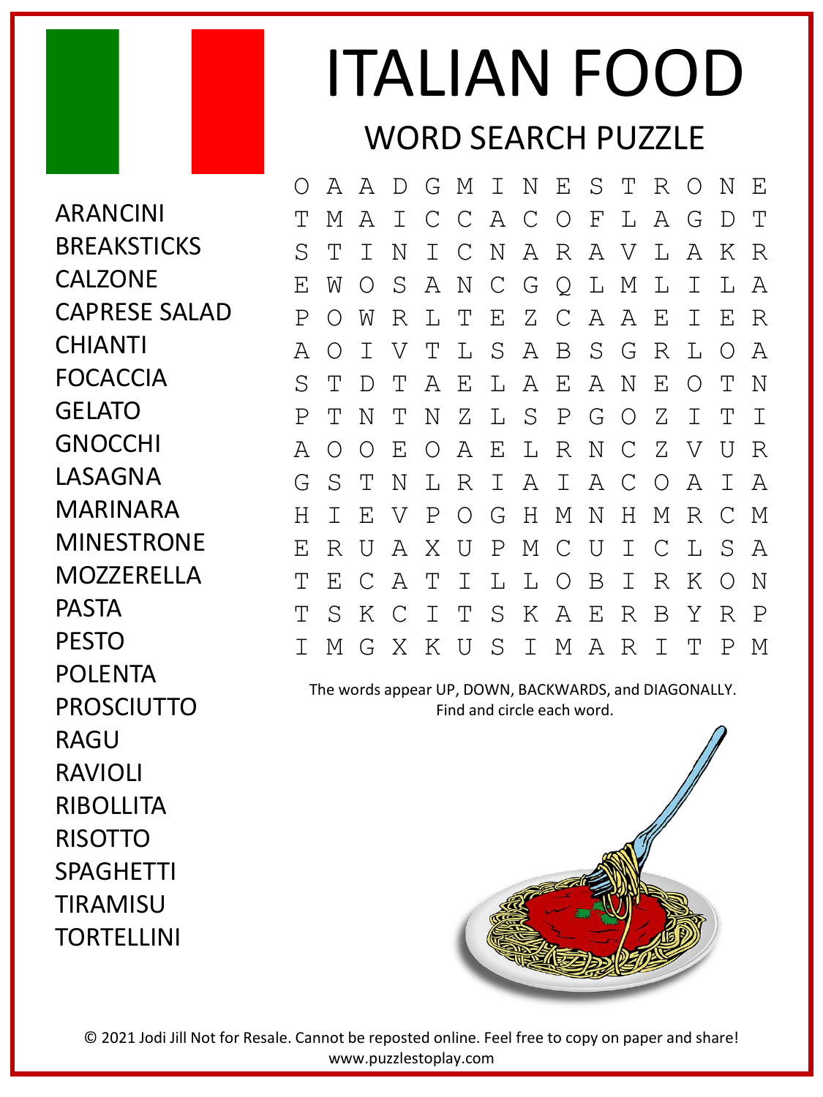## ITALIAN FOOD WORD SEARCH PUZZLE

ARANCINI **BREAKSTICKS CALZONE** CAPRESE SALAD CHIANTI FOCACCIA GELATO GNOCCHI LASAGNA MARINARA MINESTRONE MOZZERELLA PASTA PESTO POLENTA PROSCIUTTO RAGU RAVIOLI RIBOLLITA RISOTTO SPAGHETTI TIRAMISU **TORTELLINI** 

O A A D G M I N E S T R O N E T M A I C C A C O F L A G D T S T I N I C N A R A V L A K R E W O S A N C G Q L M L I L A P O W R L T E Z C A A E I E R A O I V T L S A B S G R L O A S T D T A E L A E A N E O T N P T N T N Z L S P G O Z I T I A O O E O A E L R N C Z V U R G S T N L R I A I A C O A I A H I E V P O G H M N H M R C M E R U A X U P M C U I C L S A T E C A T I L L O B I R K O N T S K C I T S K A E R B Y R P I M G X K U S I M A R I T P M

The words appear UP, DOWN, BACKWARDS, and DIAGONALLY. Find and circle each word.



© 2021 Jodi Jill Not for Resale. Cannot be reposted online. Feel free to copy on paper and share! www.puzzlestoplay.com